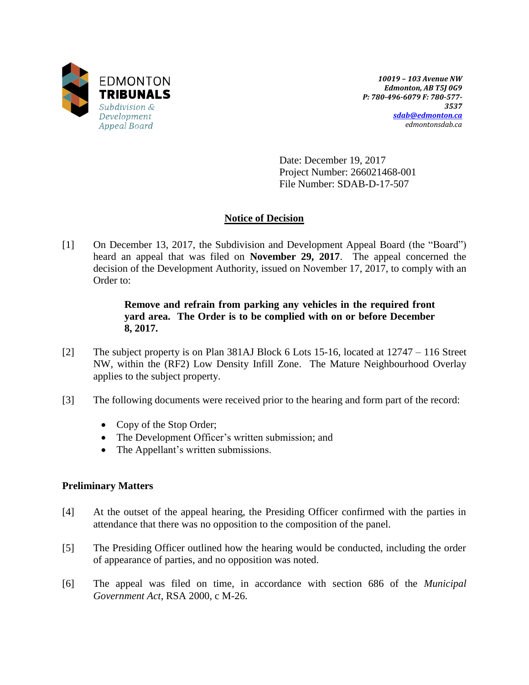

*10019 – 103 Avenue NW Edmonton, AB T5J 0G9 P: 780-496-6079 F: 780-577- 3537 [sdab@edmonton.ca](mailto:sdab@edmonton.ca) edmontonsdab.ca*

Date: December 19, 2017 Project Number: 266021468-001 File Number: SDAB-D-17-507

# **Notice of Decision**

[1] On December 13, 2017, the Subdivision and Development Appeal Board (the "Board") heard an appeal that was filed on **November 29, 2017**. The appeal concerned the decision of the Development Authority, issued on November 17, 2017, to comply with an Order to:

## **Remove and refrain from parking any vehicles in the required front yard area. The Order is to be complied with on or before December 8, 2017.**

- [2] The subject property is on Plan 381AJ Block 6 Lots 15-16, located at 12747 116 Street NW, within the (RF2) Low Density Infill Zone. The Mature Neighbourhood Overlay applies to the subject property.
- [3] The following documents were received prior to the hearing and form part of the record:
	- Copy of the Stop Order;
	- The Development Officer's written submission; and
	- The Appellant's written submissions.

### **Preliminary Matters**

- [4] At the outset of the appeal hearing, the Presiding Officer confirmed with the parties in attendance that there was no opposition to the composition of the panel.
- [5] The Presiding Officer outlined how the hearing would be conducted, including the order of appearance of parties, and no opposition was noted.
- [6] The appeal was filed on time, in accordance with section 686 of the *Municipal Government Act*, RSA 2000, c M-26.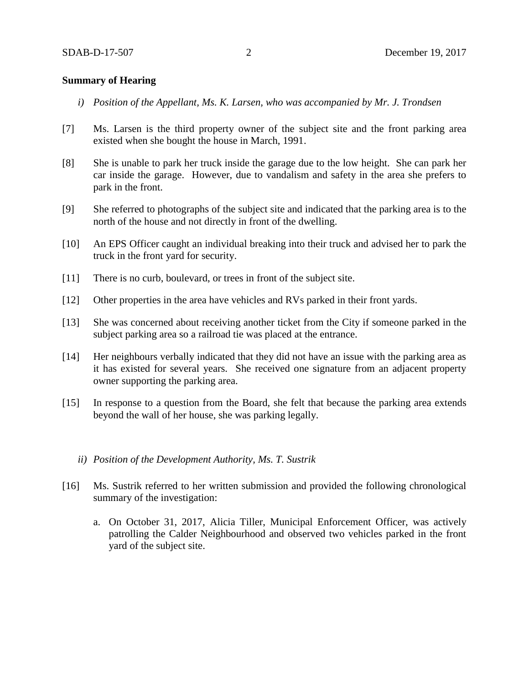#### **Summary of Hearing**

- *i) Position of the Appellant, Ms. K. Larsen, who was accompanied by Mr. J. Trondsen*
- [7] Ms. Larsen is the third property owner of the subject site and the front parking area existed when she bought the house in March, 1991.
- [8] She is unable to park her truck inside the garage due to the low height. She can park her car inside the garage. However, due to vandalism and safety in the area she prefers to park in the front.
- [9] She referred to photographs of the subject site and indicated that the parking area is to the north of the house and not directly in front of the dwelling.
- [10] An EPS Officer caught an individual breaking into their truck and advised her to park the truck in the front yard for security.
- [11] There is no curb, boulevard, or trees in front of the subject site.
- [12] Other properties in the area have vehicles and RVs parked in their front yards.
- [13] She was concerned about receiving another ticket from the City if someone parked in the subject parking area so a railroad tie was placed at the entrance.
- [14] Her neighbours verbally indicated that they did not have an issue with the parking area as it has existed for several years. She received one signature from an adjacent property owner supporting the parking area.
- [15] In response to a question from the Board, she felt that because the parking area extends beyond the wall of her house, she was parking legally.
	- *ii) Position of the Development Authority, Ms. T. Sustrik*
- [16] Ms. Sustrik referred to her written submission and provided the following chronological summary of the investigation:
	- a. On October 31, 2017, Alicia Tiller, Municipal Enforcement Officer, was actively patrolling the Calder Neighbourhood and observed two vehicles parked in the front yard of the subject site.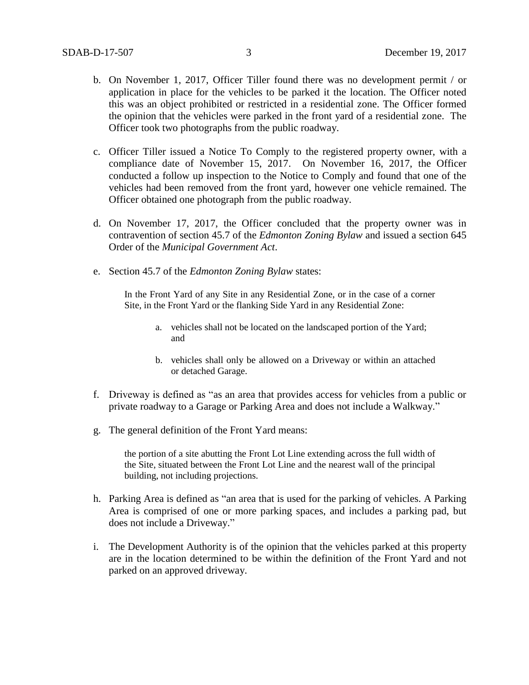- b. On November 1, 2017, Officer Tiller found there was no development permit / or application in place for the vehicles to be parked it the location. The Officer noted this was an object prohibited or restricted in a residential zone. The Officer formed the opinion that the vehicles were parked in the front yard of a residential zone. The Officer took two photographs from the public roadway.
- c. Officer Tiller issued a Notice To Comply to the registered property owner, with a compliance date of November 15, 2017. On November 16, 2017, the Officer conducted a follow up inspection to the Notice to Comply and found that one of the vehicles had been removed from the front yard, however one vehicle remained. The Officer obtained one photograph from the public roadway.
- d. On November 17, 2017, the Officer concluded that the property owner was in contravention of section 45.7 of the *Edmonton Zoning Bylaw* and issued a section 645 Order of the *Municipal Government Act*.
- e. Section 45.7 of the *Edmonton Zoning Bylaw* states:

In the Front Yard of any Site in any Residential Zone, or in the case of a corner Site, in the Front Yard or the flanking Side Yard in any Residential Zone:

- a. vehicles shall not be located on the landscaped portion of the Yard; and
- b. vehicles shall only be allowed on a Driveway or within an attached or detached Garage.
- f. Driveway is defined as "as an area that provides access for vehicles from a public or private roadway to a Garage or Parking Area and does not include a Walkway."
- g. The general definition of the Front Yard means:

the portion of a site abutting the Front Lot Line extending across the full width of the Site, situated between the Front Lot Line and the nearest wall of the principal building, not including projections.

- h. Parking Area is defined as "an area that is used for the parking of vehicles. A Parking Area is comprised of one or more parking spaces, and includes a parking pad, but does not include a Driveway."
- i. The Development Authority is of the opinion that the vehicles parked at this property are in the location determined to be within the definition of the Front Yard and not parked on an approved driveway.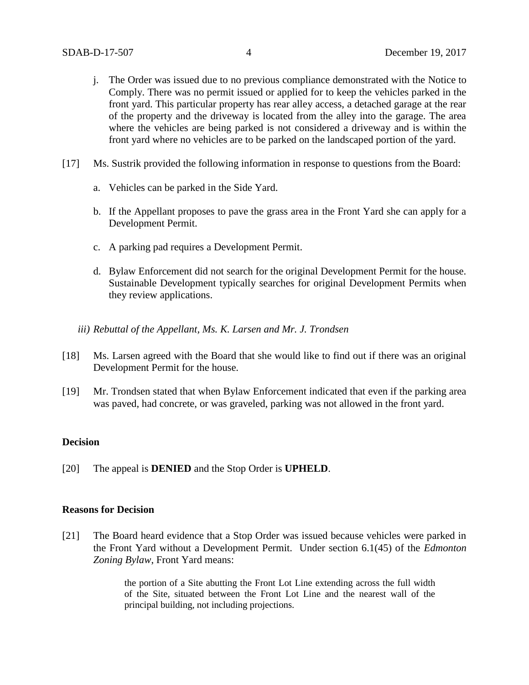- j. The Order was issued due to no previous compliance demonstrated with the Notice to Comply. There was no permit issued or applied for to keep the vehicles parked in the front yard. This particular property has rear alley access, a detached garage at the rear of the property and the driveway is located from the alley into the garage. The area where the vehicles are being parked is not considered a driveway and is within the front yard where no vehicles are to be parked on the landscaped portion of the yard.
- [17] Ms. Sustrik provided the following information in response to questions from the Board:
	- a. Vehicles can be parked in the Side Yard.
	- b. If the Appellant proposes to pave the grass area in the Front Yard she can apply for a Development Permit.
	- c. A parking pad requires a Development Permit.
	- d. Bylaw Enforcement did not search for the original Development Permit for the house. Sustainable Development typically searches for original Development Permits when they review applications.
	- *iii) Rebuttal of the Appellant, Ms. K. Larsen and Mr. J. Trondsen*
- [18] Ms. Larsen agreed with the Board that she would like to find out if there was an original Development Permit for the house.
- [19] Mr. Trondsen stated that when Bylaw Enforcement indicated that even if the parking area was paved, had concrete, or was graveled, parking was not allowed in the front yard.

### **Decision**

[20] The appeal is **DENIED** and the Stop Order is **UPHELD**.

#### **Reasons for Decision**

[21] The Board heard evidence that a Stop Order was issued because vehicles were parked in the Front Yard without a Development Permit. Under section 6.1(45) of the *Edmonton Zoning Bylaw*, Front Yard means:

> the portion of a Site abutting the Front Lot Line extending across the full width of the Site, situated between the Front Lot Line and the nearest wall of the principal building, not including projections.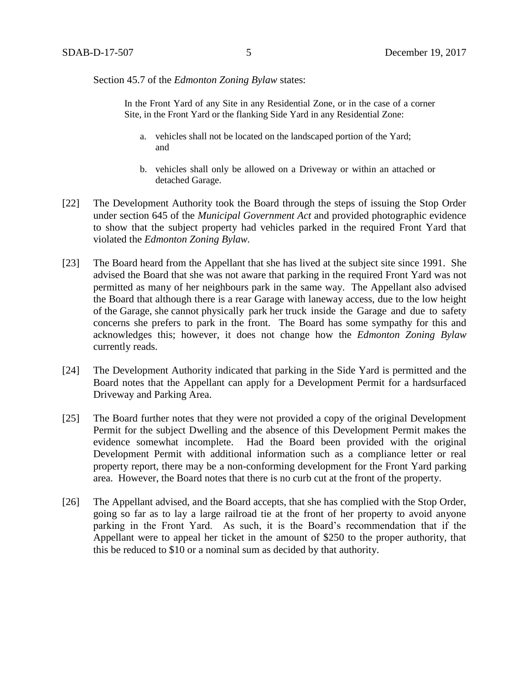Section 45.7 of the *Edmonton Zoning Bylaw* states:

In the Front Yard of any Site in any Residential Zone, or in the case of a corner Site, in the Front Yard or the flanking Side Yard in any Residential Zone:

- a. vehicles shall not be located on the landscaped portion of the Yard; and
- b. vehicles shall only be allowed on a Driveway or within an attached or detached Garage.
- [22] The Development Authority took the Board through the steps of issuing the Stop Order under section 645 of the *Municipal Government Act* and provided photographic evidence to show that the subject property had vehicles parked in the required Front Yard that violated the *Edmonton Zoning Bylaw.*
- [23] The Board heard from the Appellant that she has lived at the subject site since 1991. She advised the Board that she was not aware that parking in the required Front Yard was not permitted as many of her neighbours park in the same way. The Appellant also advised the Board that although there is a rear Garage with laneway access, due to the low height of the Garage, she cannot physically park her truck inside the Garage and due to safety concerns she prefers to park in the front. The Board has some sympathy for this and acknowledges this; however, it does not change how the *Edmonton Zoning Bylaw* currently reads.
- [24] The Development Authority indicated that parking in the Side Yard is permitted and the Board notes that the Appellant can apply for a Development Permit for a hardsurfaced Driveway and Parking Area.
- [25] The Board further notes that they were not provided a copy of the original Development Permit for the subject Dwelling and the absence of this Development Permit makes the evidence somewhat incomplete. Had the Board been provided with the original Development Permit with additional information such as a compliance letter or real property report, there may be a non-conforming development for the Front Yard parking area. However, the Board notes that there is no curb cut at the front of the property.
- [26] The Appellant advised, and the Board accepts, that she has complied with the Stop Order, going so far as to lay a large railroad tie at the front of her property to avoid anyone parking in the Front Yard. As such, it is the Board's recommendation that if the Appellant were to appeal her ticket in the amount of \$250 to the proper authority, that this be reduced to \$10 or a nominal sum as decided by that authority.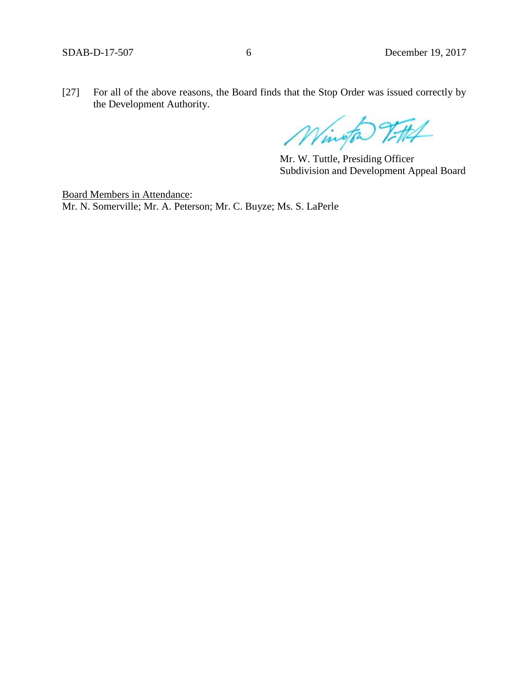[27] For all of the above reasons, the Board finds that the Stop Order was issued correctly by the Development Authority.

Wington 7-#1

Mr. W. Tuttle, Presiding Officer Subdivision and Development Appeal Board

Board Members in Attendance: Mr. N. Somerville; Mr. A. Peterson; Mr. C. Buyze; Ms. S. LaPerle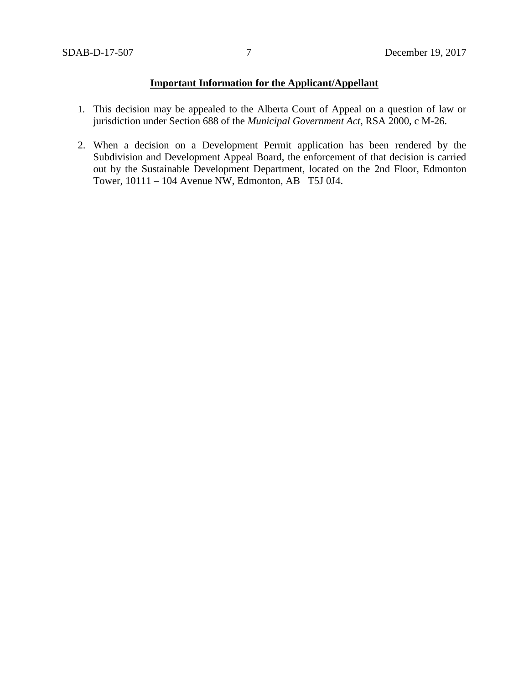# **Important Information for the Applicant/Appellant**

- 1. This decision may be appealed to the Alberta Court of Appeal on a question of law or jurisdiction under Section 688 of the *Municipal Government Act*, RSA 2000, c M-26.
- 2. When a decision on a Development Permit application has been rendered by the Subdivision and Development Appeal Board, the enforcement of that decision is carried out by the Sustainable Development Department, located on the 2nd Floor, Edmonton Tower, 10111 – 104 Avenue NW, Edmonton, AB T5J 0J4.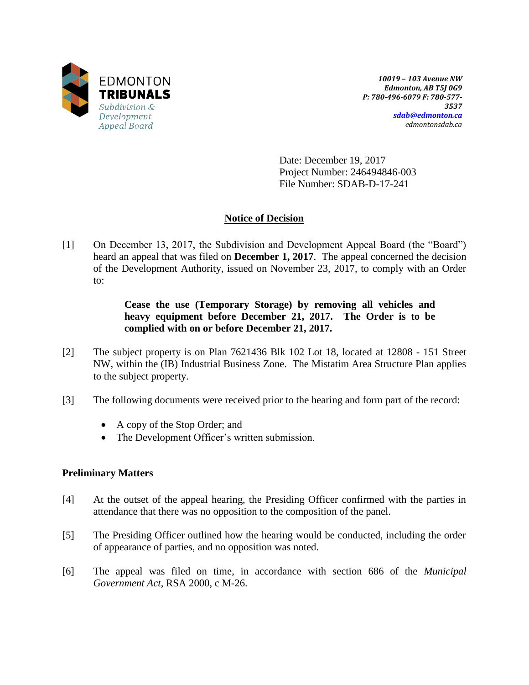

*10019 – 103 Avenue NW Edmonton, AB T5J 0G9 P: 780-496-6079 F: 780-577- 3537 [sdab@edmonton.ca](mailto:sdab@edmonton.ca) edmontonsdab.ca*

Date: December 19, 2017 Project Number: 246494846-003 File Number: SDAB-D-17-241

## **Notice of Decision**

[1] On December 13, 2017, the Subdivision and Development Appeal Board (the "Board") heard an appeal that was filed on **December 1, 2017**. The appeal concerned the decision of the Development Authority, issued on November 23, 2017, to comply with an Order to:

## **Cease the use (Temporary Storage) by removing all vehicles and heavy equipment before December 21, 2017. The Order is to be complied with on or before December 21, 2017.**

- [2] The subject property is on Plan 7621436 Blk 102 Lot 18, located at 12808 151 Street NW, within the (IB) Industrial Business Zone. The Mistatim Area Structure Plan applies to the subject property.
- [3] The following documents were received prior to the hearing and form part of the record:
	- A copy of the Stop Order; and
	- The Development Officer's written submission.

## **Preliminary Matters**

- [4] At the outset of the appeal hearing, the Presiding Officer confirmed with the parties in attendance that there was no opposition to the composition of the panel.
- [5] The Presiding Officer outlined how the hearing would be conducted, including the order of appearance of parties, and no opposition was noted.
- [6] The appeal was filed on time, in accordance with section 686 of the *Municipal Government Act*, RSA 2000, c M-26.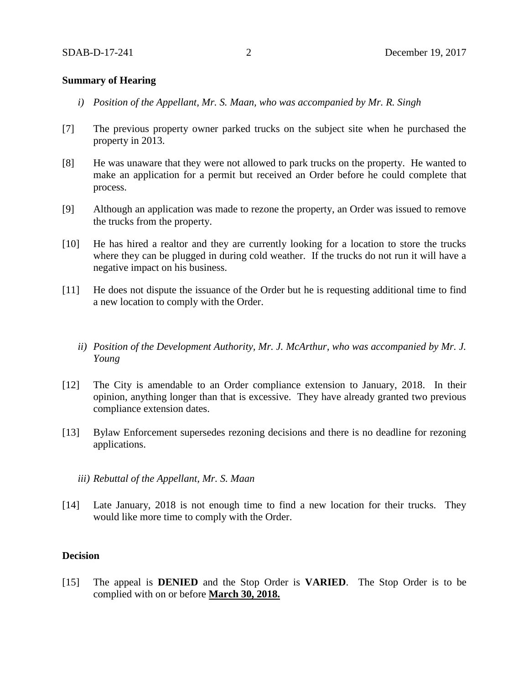### **Summary of Hearing**

- *i) Position of the Appellant, Mr. S. Maan, who was accompanied by Mr. R. Singh*
- [7] The previous property owner parked trucks on the subject site when he purchased the property in 2013.
- [8] He was unaware that they were not allowed to park trucks on the property. He wanted to make an application for a permit but received an Order before he could complete that process.
- [9] Although an application was made to rezone the property, an Order was issued to remove the trucks from the property.
- [10] He has hired a realtor and they are currently looking for a location to store the trucks where they can be plugged in during cold weather. If the trucks do not run it will have a negative impact on his business.
- [11] He does not dispute the issuance of the Order but he is requesting additional time to find a new location to comply with the Order.
	- *ii) Position of the Development Authority, Mr. J. McArthur, who was accompanied by Mr. J. Young*
- [12] The City is amendable to an Order compliance extension to January, 2018. In their opinion, anything longer than that is excessive. They have already granted two previous compliance extension dates.
- [13] Bylaw Enforcement supersedes rezoning decisions and there is no deadline for rezoning applications.
	- *iii) Rebuttal of the Appellant, Mr. S. Maan*
- [14] Late January, 2018 is not enough time to find a new location for their trucks. They would like more time to comply with the Order.

#### **Decision**

[15] The appeal is **DENIED** and the Stop Order is **VARIED**. The Stop Order is to be complied with on or before **March 30, 2018.**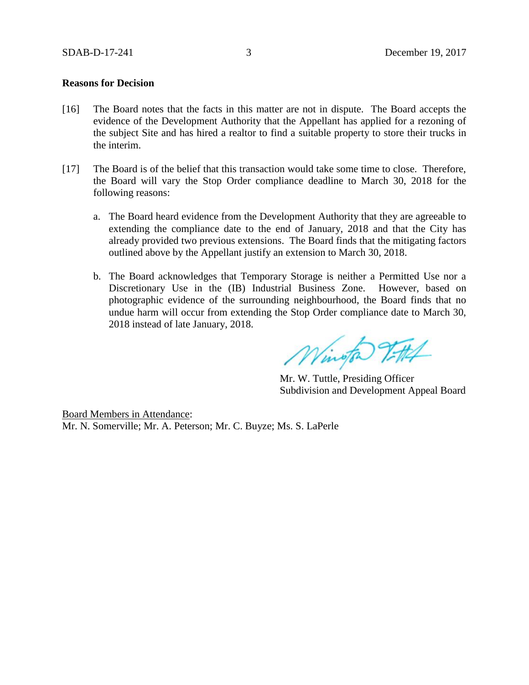### **Reasons for Decision**

- [16] The Board notes that the facts in this matter are not in dispute. The Board accepts the evidence of the Development Authority that the Appellant has applied for a rezoning of the subject Site and has hired a realtor to find a suitable property to store their trucks in the interim.
- [17] The Board is of the belief that this transaction would take some time to close. Therefore, the Board will vary the Stop Order compliance deadline to March 30, 2018 for the following reasons:
	- a. The Board heard evidence from the Development Authority that they are agreeable to extending the compliance date to the end of January, 2018 and that the City has already provided two previous extensions. The Board finds that the mitigating factors outlined above by the Appellant justify an extension to March 30, 2018.
	- b. The Board acknowledges that Temporary Storage is neither a Permitted Use nor a Discretionary Use in the (IB) Industrial Business Zone. However, based on photographic evidence of the surrounding neighbourhood, the Board finds that no undue harm will occur from extending the Stop Order compliance date to March 30, 2018 instead of late January, 2018.

Wington Titlet

Mr. W. Tuttle, Presiding Officer Subdivision and Development Appeal Board

Board Members in Attendance: Mr. N. Somerville; Mr. A. Peterson; Mr. C. Buyze; Ms. S. LaPerle